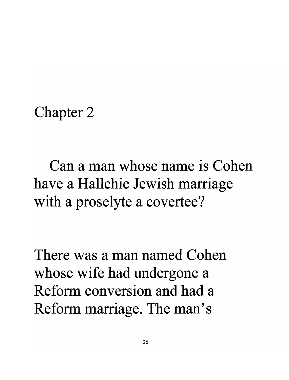Chapter 2

Can a man whose name is Cohen have a Hallchic Jewish marriage with a proselyte a covertee?

There was a man named Cohen whose wife had undergone a Reform conversion and had a Reform marriage. The man's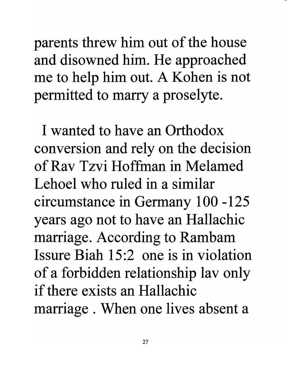parents threw him out of the house and disowned him. He approached me to help him out. A Kohen is not permitted to marry a proselyte.

I wanted to have an Orthodox conversion and rely on the decision of Rav Tzvi Hoffman in Melamed Lehoel who ruled in a similar circumstance in Germany 100 -125 years ago not to have an Hallachic marriage. According to Rambam Issure Biah 15:2 one is in violation of a forbidden relationship lav only if there exists an Hallachic marriage . When one lives absent a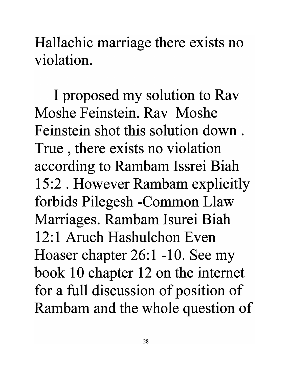Hallachic marriage there exists no violation.

I proposed my solution to Rav Moshe Feinstein. Rav Moshe Feinstein shot this solution down. True , there exists no violation according to Rambam Issrei Biah 15:2 . However Rambam explicitly forbids Pilegesh -Common Llaw Marriages. Rambam Isurei Biah 12:1 Aruch Hashulchon Even Hoaser chapter 26:1 -10. See my book 10 chapter 12 on the internet for a full discussion of position of Rambam and the whole question of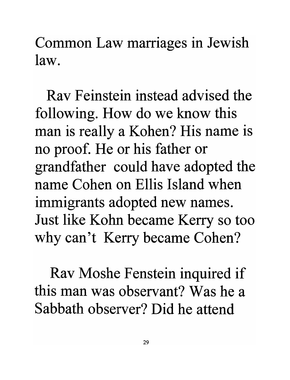Common Law marriages in Jewish law.

Rav Feinstein instead advised the following. How do we know this man is really a Kohen? His name is no proof. He or his father or grandfather could have adopted the name Cohen on Ellis Island when immigrants adopted new names. Just like Kohn became Kerry so too why can't Kerry became Cohen?

Rav Moshe Fenstein inquired if this man was observant? Was he a Sabbath observer? Did he attend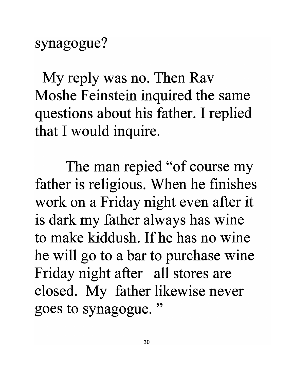synagogue?

My reply was no. Then Rav Moshe Feinstein inquired the same questions about his father. I replied that I would inquire.

The man repied "of course my father is religious. When he finishes work on a Friday night even after it is dark my father always has wine to make kiddush. If he has no wine he will go to a bar to purchase wine Friday night after all stores are closed. My father likewise never goes to synagogue. "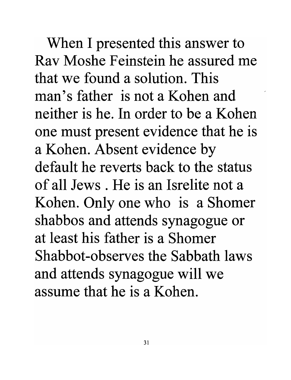When I presented this answer to Rav Moshe Feinstein he assured me that we found a solution. This man's father is not a Kohen and neither is he. In order to be a Kohen one must present evidence that he is a Kohen. Absent evidence by default he reverts back to the status of all Jews. He is an Isrelite not a Kohen. Only one who is a Shomer shabbos and attends synagogue or at least his father is a Shomer Shabbot-observes the Sabbath laws and attends synagogue will we assume that he is a Kohen.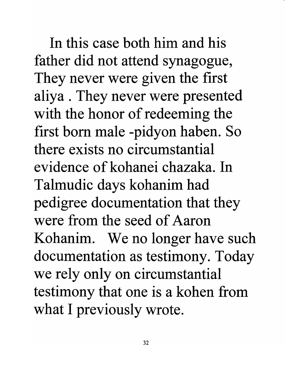In this case both him and his father did not attend synagogue, They never were given the first aliya . They never were presented with the honor of redeeming the first born male -pidyon haben. So there exists no circumstantial evidence of kohanei chazaka. In Talmudic days kohanim had pedigree documentation that they were from the seed of Aaron Kohanim. We no longer have such documentation as testimony. Today we rely only on circumstantial testimony that one is a kohen from what I previously wrote.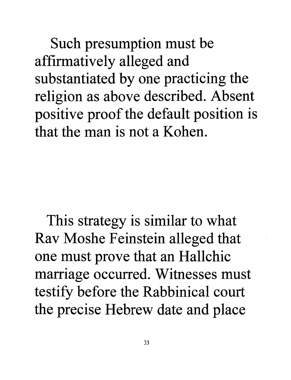Such presumption must be affirmatively alleged and substantiated by one practicing the religion as above described. Absent positive proof the default position is that the man is not a Kohen.

This strategy is similar to what Rav Moshe Feinstein alleged that one must prove that an Hallchic marriage occurred. Witnesses must testify before the Rabbinical court the precise Hebrew date and place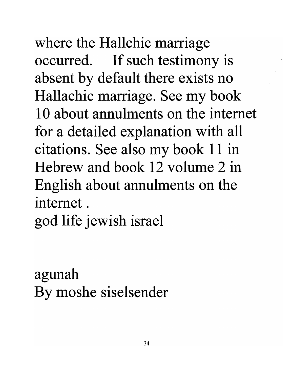where the Hallchic marriage occurred. If such testimony is absent by default there exists no Hallachic marriage. See my book 10 about annulments on the internet for a detailed explanation with all citations. See also my book 11 in Hebrew and book 12 volume 2 in English about annulments on the internet. god life jewish israel

agunah By moshe siselsender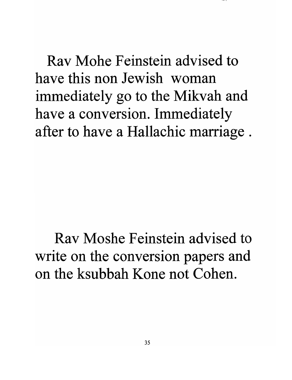Rav Mohe Feinstein advised to have this non Jewish woman immediately go to the Mikvah and have a conversion. Immediately after to have a Hallachic marriage .

Rav Moshe Feinstein advised to write on the conversion papers and on the ksubbah Kone not Cohen.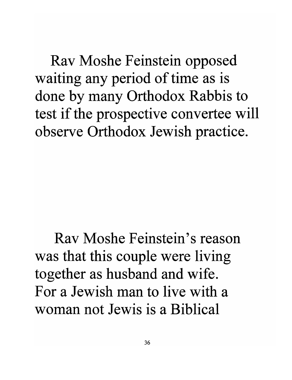Rav Moshe Feinstein opposed waiting any period of time as is done by many Orthodox Rabbis to test if the prospective convertee will observe Orthodox Jewish practice.

Rav Moshe Feinstein's reason was that this couple were living together as husband and wife. For a Jewish man to live with a woman not Jewis is a Biblical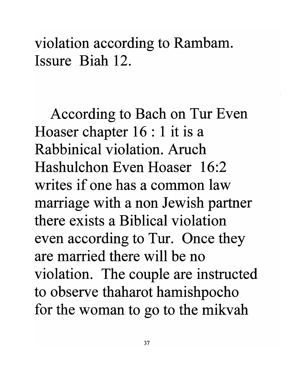violation according to Rambam. Issure Biah 12.

According to Bach on Tur Even Hoaser chapter 16 : 1 it is a Rabbinical violation. Aruch Hashulchon Even Hoaser 16:2 writes if one has a common law marriage with a non Jewish partner there exists a Biblical violation even according to Tur. Once they are married there will be no violation. The couple are instructed to observe thaharot hamishpocho for the woman to go to the mikvah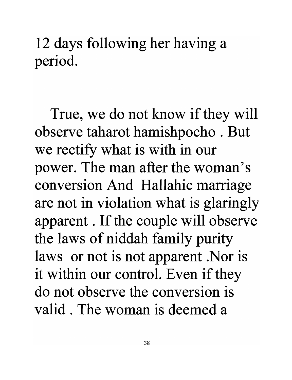12 days following her having a period.

True, we do not know if they will observe taharot hamishpocho . But we rectify what is with in our power. The man after the woman's conversion And Hallahic marriage are not in violation what is glaringly apparent. If the couple will observe the laws of niddah family purity laws or not is not apparent. Nor is it within our control. Even if they do not observe the conversion is valid. The woman is deemed a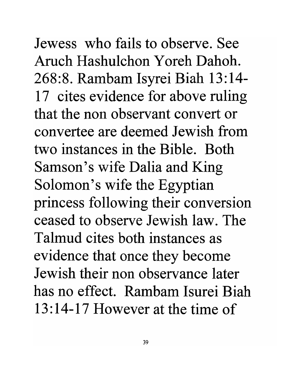Jewess who fails to observe. See Aruch Hashulchon Y oreh Dahoh. 268:8. Rambam Isyrei Biah 13:14- 17 cites evidence for above ruling that the non observant convert or convertee are deemed Jewish from two instances in the Bible. Both Samson's wife Dalia and King Solomon's wife the Egyptian princess following their conversion ceased to observe Jewish law. The Talmud cites both instances as evidence that once they become Jewish their non observance later has no effect. Rambam Isurei Biah 13:14-17 However at the time of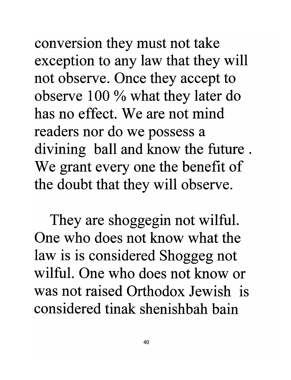conversion they must not take exception to any law that they will not observe. Once they accept to observe 100 % what they later do has no effect. We are not mind readers nor do we possess a divining ball and know the future . We grant every one the benefit of the doubt that they will observe.

They are shoggegin not wilful. One who does not know what the law is is considered Shoggeg not wilful. One who does not know or was not raised Orthodox Jewish is considered tinak shenishbah bain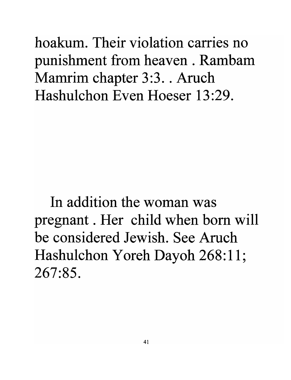hoakum. Their violation carries no punishment from heaven . Rambam Mamrim chapter 3:3. Aruch Hashulchon Even Hoeser 13:29.

In addition the woman was pregnant. Her child when born will be considered Jewish. See Aruch Hashulchon Yoreh Dayoh 268:11; 267:85.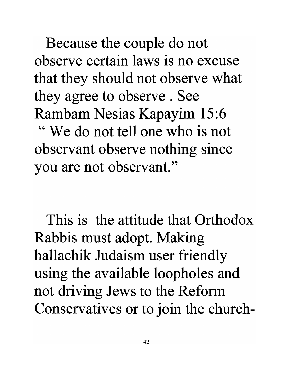Because the couple do not observe certain laws **is** no excuse that they should not observe what they agree to observe . See Rambam Nesias Kapayim 15:6 " We do not tell one who is not observant observe nothing since you are not observant."

This is the attitude that Orthodox Rabbis must adopt. Making hallachik Judaism user friendly using the available loopholes and not driving Jews to the Reform Conservatives or to join the church-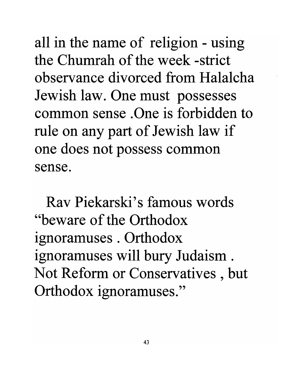all in the name of religion - using the Chumrah of the week -strict observance divorced from Halalcha Jewish law. One must possesses common sense . One is forbidden to rule on any part of Jewish law if one does not possess common sense.

Rav Piekarski's famous words "beware of the Orthodox ignoramuses . Orthodox ignoramuses will bury Judaism. Not Reform or Conservatives , but Orthodox ignoramuses."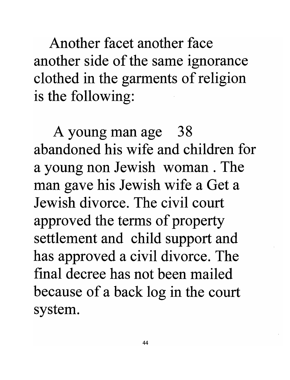Another facet another face another side of the same ignorance clothed in the garments of religion is the following:

A young man age 38 abandoned his wife and children for a young non Jewish woman. The man gave his Jewish wife a Get a Jewish divorce. The civil court approved the terms of property settlement and child support and has approved a civil divorce. The final decree has not been mailed because of a back log in the court system.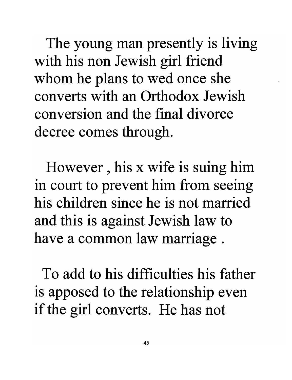The young man presently is living with his non Jewish girl friend whom he plans to wed once she converts with an Orthodox Jewish conversion and the final divorce decree comes through.

However , his x wife is suing him in court to prevent him from seeing his children since he is not married and this is against Jewish law to have a common law marriage .

To add to his difficulties his father is apposed to the relationship even if the girl converts. He has not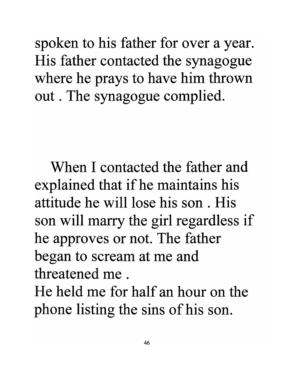spoken to his father for over a year. His father contacted the synagogue where he prays to have him thrown out. The synagogue complied.

When I contacted the father and explained that if he maintains his attitude he will lose his son . His son will marry the girl regardless if he approves or not. The father began to scream at me and threatened me .

He held me for half an hour on the phone listing the sins of his son.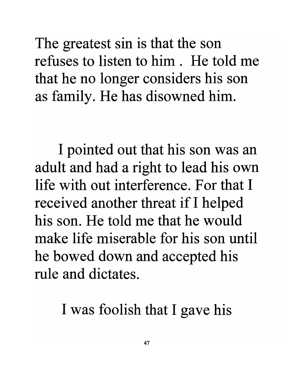The greatest sin is that the son refuses to listen to him. He told me that he no longer considers his son as family. He has disowned him.

I pointed out that his son was an adult and had a right to lead his own life with out interference. For that I received another threat if I helped his son. He told me that he would make life miserable for his son until he bowed down and accepted his rule and dictates.

I was foolish that I gave his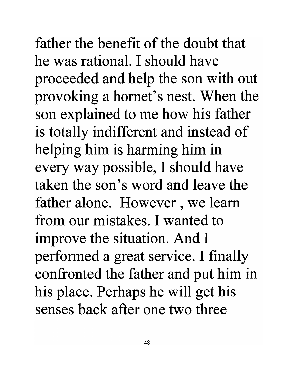father the benefit of the doubt that he was rational. I should have proceeded and help the son with out provoking a hornet's nest. When the son explained to me how his father is totally indifferent and instead of helping him is harming him in every way possible, I should have taken the son's word and leave the father alone. However, we learn from our mistakes. I wanted to improve the situation. And I performed a great service. I finally confronted the father and put him in his place. Perhaps he will get his senses back after one two three